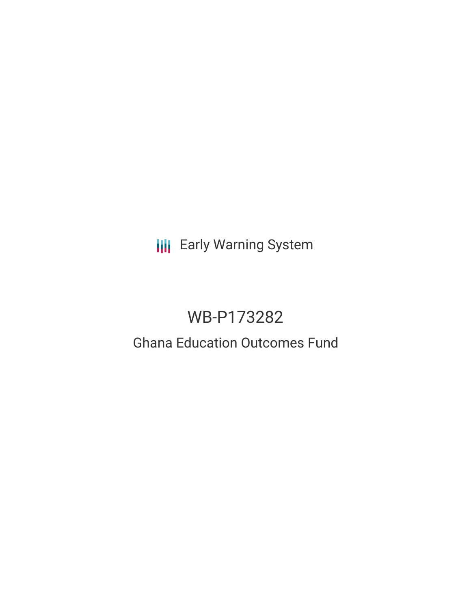**III** Early Warning System

# WB-P173282

# Ghana Education Outcomes Fund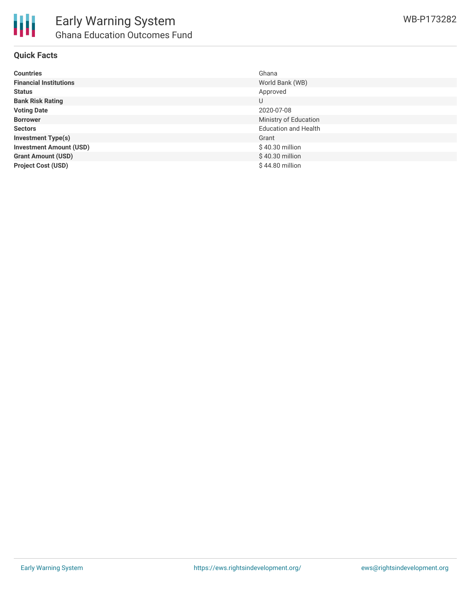

## **Quick Facts**

| <b>Countries</b>               | Ghana                       |
|--------------------------------|-----------------------------|
| <b>Financial Institutions</b>  | World Bank (WB)             |
| <b>Status</b>                  | Approved                    |
| <b>Bank Risk Rating</b>        | U                           |
| <b>Voting Date</b>             | 2020-07-08                  |
| <b>Borrower</b>                | Ministry of Education       |
| <b>Sectors</b>                 | <b>Education and Health</b> |
| <b>Investment Type(s)</b>      | Grant                       |
| <b>Investment Amount (USD)</b> | $$40.30$ million            |
| <b>Grant Amount (USD)</b>      | \$40.30 million             |
| <b>Project Cost (USD)</b>      | $$44.80$ million            |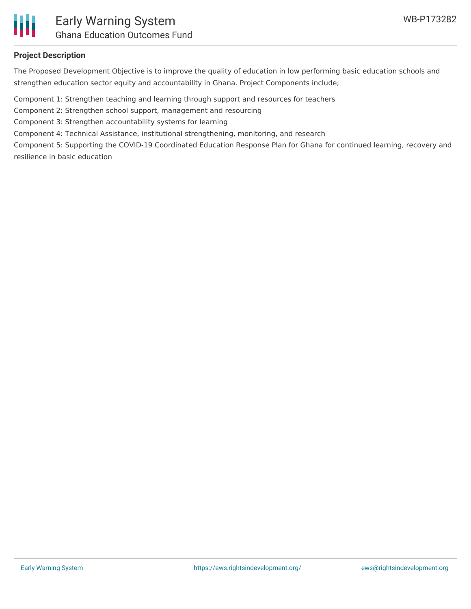

# **Project Description**

The Proposed Development Objective is to improve the quality of education in low performing basic education schools and strengthen education sector equity and accountability in Ghana. Project Components include;

Component 1: Strengthen teaching and learning through support and resources for teachers

Component 2: Strengthen school support, management and resourcing

Component 3: Strengthen accountability systems for learning

Component 4: Technical Assistance, institutional strengthening, monitoring, and research

Component 5: Supporting the COVID-19 Coordinated Education Response Plan for Ghana for continued learning, recovery and resilience in basic education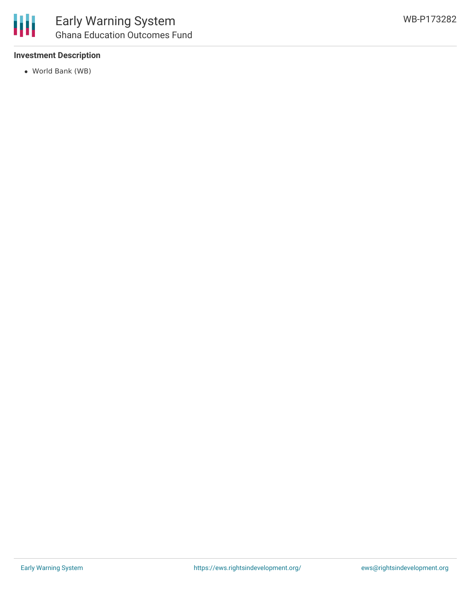

### **Investment Description**

World Bank (WB)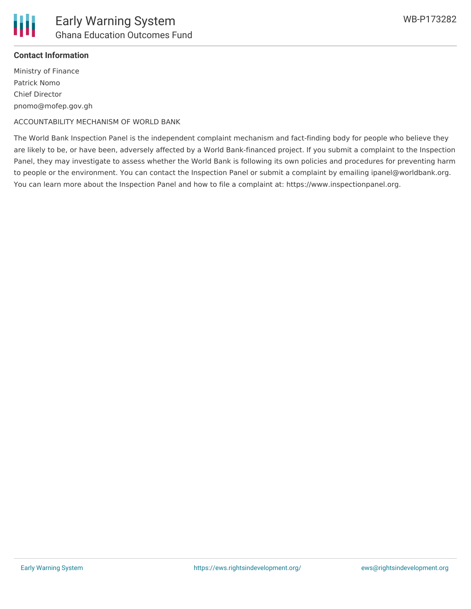

## **Contact Information**

Ministry of Finance Patrick Nomo Chief Director pnomo@mofep.gov.gh

ACCOUNTABILITY MECHANISM OF WORLD BANK

The World Bank Inspection Panel is the independent complaint mechanism and fact-finding body for people who believe they are likely to be, or have been, adversely affected by a World Bank-financed project. If you submit a complaint to the Inspection Panel, they may investigate to assess whether the World Bank is following its own policies and procedures for preventing harm to people or the environment. You can contact the Inspection Panel or submit a complaint by emailing ipanel@worldbank.org. You can learn more about the Inspection Panel and how to file a complaint at: https://www.inspectionpanel.org.